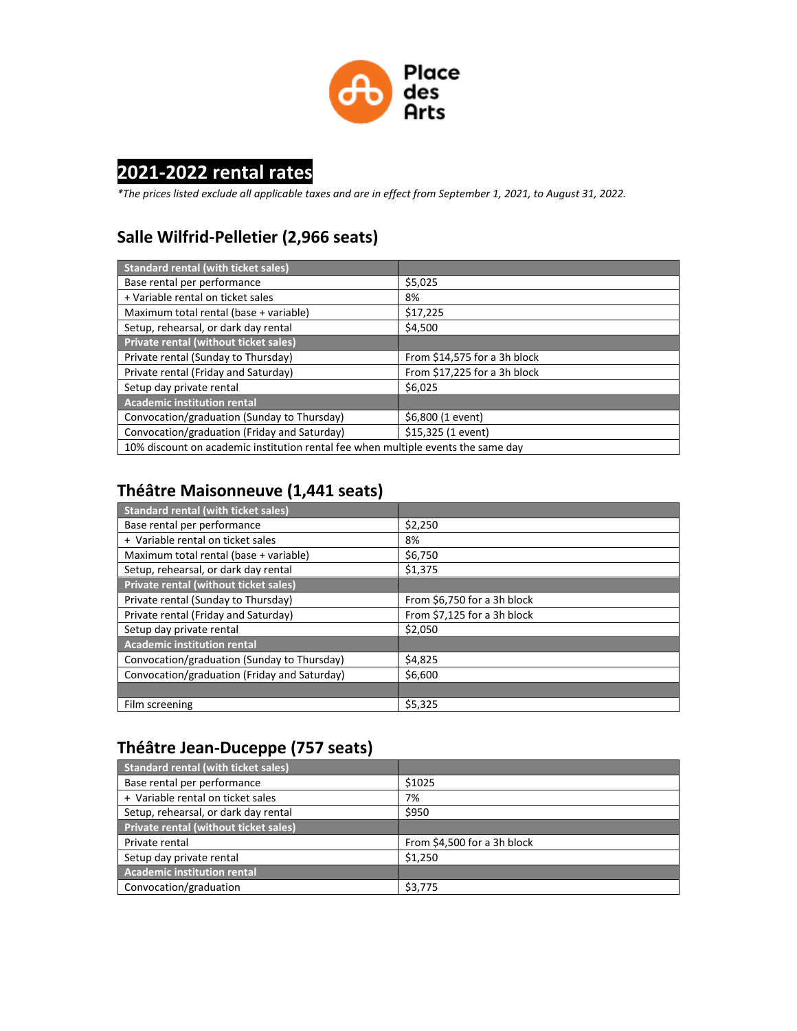

# **2021-2022 rental rates**

*\*The prices listed exclude all applicable taxes and are in effect from September 1, 2021, to August 31, 2022.*

#### **Salle Wilfrid-Pelletier (2,966 seats)**

| <b>Standard rental (with ticket sales)</b>                                        |                               |
|-----------------------------------------------------------------------------------|-------------------------------|
| Base rental per performance                                                       | \$5,025                       |
| + Variable rental on ticket sales                                                 | 8%                            |
| Maximum total rental (base + variable)                                            | \$17,225                      |
| Setup, rehearsal, or dark day rental                                              | \$4,500                       |
| Private rental (without ticket sales)                                             |                               |
| Private rental (Sunday to Thursday)                                               | From $$14,575$ for a 3h block |
| Private rental (Friday and Saturday)                                              | From \$17,225 for a 3h block  |
| Setup day private rental                                                          | \$6,025                       |
| <b>Academic institution rental</b>                                                |                               |
| Convocation/graduation (Sunday to Thursday)                                       | \$6,800 (1 event)             |
| Convocation/graduation (Friday and Saturday)                                      | \$15,325 (1 event)            |
| 10% discount on academic institution rental fee when multiple events the same day |                               |

## **Théâtre Maisonneuve (1,441 seats)**

| <b>Standard rental (with ticket sales)</b>   |                             |
|----------------------------------------------|-----------------------------|
| Base rental per performance                  | \$2,250                     |
| + Variable rental on ticket sales            | 8%                          |
| Maximum total rental (base + variable)       | \$6,750                     |
| Setup, rehearsal, or dark day rental         | \$1,375                     |
| Private rental (without ticket sales)        |                             |
| Private rental (Sunday to Thursday)          | From \$6,750 for a 3h block |
| Private rental (Friday and Saturday)         | From \$7,125 for a 3h block |
| Setup day private rental                     | \$2,050                     |
| <b>Academic institution rental</b>           |                             |
| Convocation/graduation (Sunday to Thursday)  | \$4,825                     |
| Convocation/graduation (Friday and Saturday) | \$6,600                     |
|                                              |                             |
| Film screening                               | \$5,325                     |

### **Théâtre Jean-Duceppe (757 seats)**

| <b>Standard rental (with ticket sales)</b> |                             |
|--------------------------------------------|-----------------------------|
| Base rental per performance                | \$1025                      |
| + Variable rental on ticket sales          | 7%                          |
| Setup, rehearsal, or dark day rental       | \$950                       |
| Private rental (without ticket sales)      |                             |
| Private rental                             | From \$4,500 for a 3h block |
| Setup day private rental                   | \$1.250                     |
| <b>Academic institution rental</b>         |                             |
| Convocation/graduation                     | \$3.775                     |